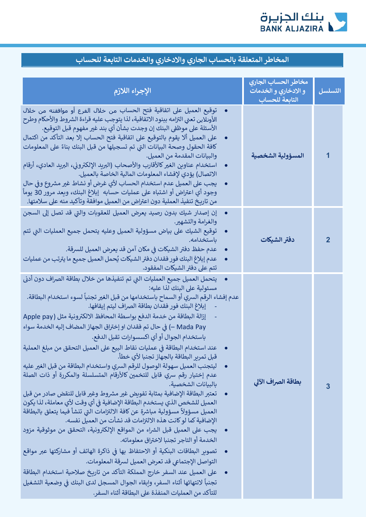

| الإجراء اللازم                                                                                                                                                                                                                                                                                                                                                                                                                                                                                                                                                                                                                                                                                                                                                                                                                                                                                                                                                                                                                                                                                                                                                                                                                                                                                                                                                                                                                                                                                                                                                      | مخاطر الحساب الجاري<br>و الادخاري و الخدمات | التسلسل        |
|---------------------------------------------------------------------------------------------------------------------------------------------------------------------------------------------------------------------------------------------------------------------------------------------------------------------------------------------------------------------------------------------------------------------------------------------------------------------------------------------------------------------------------------------------------------------------------------------------------------------------------------------------------------------------------------------------------------------------------------------------------------------------------------------------------------------------------------------------------------------------------------------------------------------------------------------------------------------------------------------------------------------------------------------------------------------------------------------------------------------------------------------------------------------------------------------------------------------------------------------------------------------------------------------------------------------------------------------------------------------------------------------------------------------------------------------------------------------------------------------------------------------------------------------------------------------|---------------------------------------------|----------------|
|                                                                                                                                                                                                                                                                                                                                                                                                                                                                                                                                                                                                                                                                                                                                                                                                                                                                                                                                                                                                                                                                                                                                                                                                                                                                                                                                                                                                                                                                                                                                                                     | التابعة للحساب                              |                |
| توقيع العميل على اتفاقية فتح الحساب من خلال الفرع أو موافقته من خلال<br>الأونلاين تعني التزامه ببنود الاتفاقية، لذا يتوجب عليه قراءة الشروط والأحكام وطرح<br>الأسئلة على موظفى البنك إن وجدت بشأن أي بند غير مفهوم قبل التوقيع.<br>على العميل ألا يقوم بالتوقيع على اتفاقية فتح الحساب إلا بعد التأكد من اكتمال<br>كافة الحقول وصحة البيانات التي تم تسجيلها من قبل البنك بناءً على المعلومات<br>والبيانات المقدمة من العميل.<br>استخدام عناوين الغير كالأقارب والأصحاب (البريد الإلكتروني، البريد العادي، أرقام<br>الاتصال) يؤدي لإفشاء المعلومات المالية الخاصة بالعميل.<br>يجب على العميل عدم استخدام الحساب لأي غرض أو نشاط غير مشروع وفي حال<br>وجود أي اعتراض أو اشتباه على عمليات حسابه  إبلاغ البنك، ويعد مرور 30 يوماً<br>من تاريخ تنفيذ العملية دون اعتراض من العميل موافقة وتأكيد منه على سلامتها.                                                                                                                                                                                                                                                                                                                                                                                                                                                                                                                                                                                                                                                                                                                                                       | المسؤولية الشخصية                           | 1              |
| إن إصدار شيك بدون رصيد يعرض العميل للعقوبات والتي قد تصل إلى السجن<br>$\bullet$<br>والغرامة والتشهير.<br>توقيع الشيك على بياض مسؤولية العميل وعليه يتحمل جميع العمليات التى تتم<br>باستخدامه.<br>عدم حفظ دفتر الشيكات في مكان آمن قد يعرض العميل للسرقة.<br>عدم إبلاغ البنك فور فقدان دفتر الشيكات يُحمل العميل جميع ما يترتب من عمليات<br>تتم على دفتر الشيكات المفقود.                                                                                                                                                                                                                                                                                                                                                                                                                                                                                                                                                                                                                                                                                                                                                                                                                                                                                                                                                                                                                                                                                                                                                                                            | دفتر الشيكات                                | $\overline{2}$ |
| يتحمل العميل جميع العمليات التي تم تنفيذها من خلال بطاقة الصراف دون أدنى<br>$\bullet$<br>مسئولية على البنك لذا عليه:<br>عدم إفشاء الرقم السري أو السماح باستخدامها من قبل الغير تجنباً لسوء استخدام البطاقة.<br>إبلاغ البنك فور فقدان بطاقة الصراف ليتم إيقافها.<br>إزالة البطاقة من خدمة الدفع بواسطة المحافظ الالكترونية مثل (Apple pay<br>Mada Pay —) في حال تم فقدان او إختراق الجهاز المضاف إليه الخدمة سواء<br>باستخدام الجوال أو أي اكسسوارات تقبل الدفع.<br>عند استخدام البطاقة في عمليات نقاط البيع على العميل التحقق من مبلغ العملية<br>قبل تمرير البطاقة بالجهاز تجنبا لأى خطأ.<br>ليتجنب العميل سهولة الوصول للرقم السرى واستخدام البطاقة من قبل الغير عليه<br>عدم إختيار رقم سري قابل للتخمين كالأرقام المتسلسلة والمكررة أو ذات الصلة<br>بالبيانات الشخصية.<br>تعتبر البطاقة الإضافية بمثابة تفويض غير مشروط وغير قابل للنقض صادر من قبل<br>العميل للشخص الذي يستخدم البطاقة الإضافية في أي وقت لأي معاملة، لذا يكون<br>العميل مسؤولأ مسؤولية مباشرة عن كافة الالتزامات التى تنشأ فيما يتعلق بالبطاقة<br>الإضافية كما لو كانت هذه الالتزامات قد نشأت من العميل نفسه.<br>يجب على العميل قبل الشراء من المواقع الإلكترونية، التحقق من موثوقية مزود<br>الخدمة أو التاجر تجنبا لاختراق معلوماته.<br>تصوير البطاقات البنكية أو الاحتفاظ بها في ذاكرة الهاتف أو مشاركتها عبر مواقع<br>التواصل الإجتماعي قد تعرض العميل لسرقة المعلومات.<br>على العميل عند السفر خارج المملكة التأكد من تاريخ صلاحية استخدام البطاقة<br>تجنباً لانتهائها أثناء السفر، وإبقاء الجوال المسجل لدى البنك في وضعية التشغيل<br>للتأكد من العمليات المنفذة على البطاقة أثناء السفر. | بطاقة الصراف الآلى                          | 3              |

## المخاطر المتعلقة بالحساب الجاري والادخاري والخدمات التابعة للحساب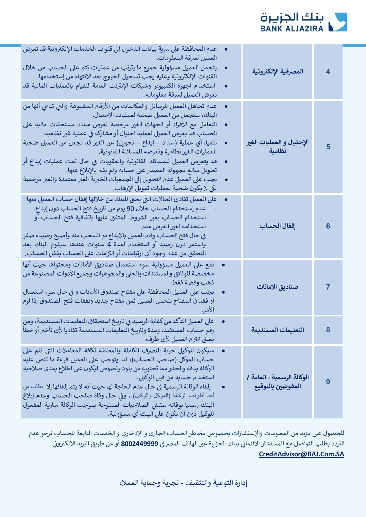

| عدم المحافظة على سرية بيانات الدخول إلى قنوات الخدمات الإلكترونية قد تعرض<br>العميل لسرقة المعلومات.<br>يتحمل العميل مسؤولية جميع ما يترتب من عمليات تتم على الحساب من خلال<br>القنوات الإلكترونية وعليه يجب تسجيل الخروج بعد الانتهاء من إستخدامها.<br>استخدام أجهزة الكمبيوتر وشبكات الإنترنت العامة للقيام بالعمليات المالية قد<br>تعرض العميل لسرقة معلوماته.                                                                                                                                                                                                                                                                                                       | المصرفية الإلكترونية                            | $\overline{\mathbf{4}}$ |
|-------------------------------------------------------------------------------------------------------------------------------------------------------------------------------------------------------------------------------------------------------------------------------------------------------------------------------------------------------------------------------------------------------------------------------------------------------------------------------------------------------------------------------------------------------------------------------------------------------------------------------------------------------------------------|-------------------------------------------------|-------------------------|
| عدم تجاهل العميل للرسائل والمكالمات من الأرقام المشبوهة والتى تدعى أنها من<br>البنك، ستجعل من العميل ضحية لعمليات الاحتيال.<br>التعامل مع الأفراد أو الجهات الغير مرخصة لغرض سداد مستحقات مالية على<br>الحساب قد يعرض العميل لعملية احتيال أو مشاركة في عملية غير نظامية.<br>تنفيذ أي عملية (سداد – إيداع – تحويل) عن الغير قد تجعل من العميل ضحية<br>للعمليات الغير نظامية وتعرضه للمسائلة القانونية.<br>قد يتعرض العميل للمسائله القانونية والعقوبات في حال تمت عمليات إيداع أو<br>تحويل مبالغ مجهولة المصدر على حسابه ولم يقم بالإبلاغ عنها.<br>يجب على العميل عدم التحويل إلى الجمعيات الخيرية الغير معتمدة والغير مرخصة<br>لكي لا يكون ضحية لعمليات تمويل الإرهاب. | الإحتيال و العمليات الغير<br>نظامية             | 5                       |
| على العميل تفادي الحالات التي يحق للبنك من خلالها إقفال حساب العميل منها:<br>عدم إستخدام الحساب خلال 90 يوم من تاريخ فتح الحساب دون إيداع.<br>استخدام الحساب بغير الشروط المتفق عليها باتفاقية فتح الحساب أو<br>استخدامه لغير الغرض منه.<br>في حال فتح الحساب وقام العميل بالإيداع ثم السحب منه وأصبح رصيده صفر<br>واستمر دون رصيد أو استخدام لمدة 4 سنوات عندها سيقوم البنك بعد<br>التحقق من عدم وجود أي ارتباطات أو التزامات على الحساب بقفل الحساب .                                                                                                                                                                                                                 | إقفال الحساب                                    | 6                       |
| تقع على العميل مسؤولية سوء استعمال صناديق الأمانات ومحتواها حيث أنها<br>مخصصة للوثائق والمستندات والحلى والمجوهرات وجميع الأدوات المصنوعة من<br>ذهب وفضة فقط.<br>يجب على العميل المحافظة على مفتاح صندوق الأمانات و في حال سوء استعمال<br>أو فقدان المفتاح يتحمل العميل ثمن مفتاح جديد ونفقات فتح الصندوق إذا لزم                                                                                                                                                                                                                                                                                                                                                       | صناديق الامانات                                 | $\overline{7}$          |
| على العميل التأكد من كفاية الرصيد في تاريخ استحقاق التعليمات المستديمة، ومن<br>رقم حساب المستفيد، ومدة وتاريخ التعليمات المستديمة تفاديا لأي تأخير أو خطأ<br>يعيق التزام العميل لأي طرف.                                                                                                                                                                                                                                                                                                                                                                                                                                                                                | التعليمات المستديمة                             | 8                       |
| سيكون للوكيل حرية التصرف الكاملة والمطلقة لكافة المعاملات التي تتم على<br>حساب الموكل (صاحب الحساب)، لذا يتوجب على العميل قراءة ما تنص عليه<br>الوكالة بدقة والحذر مما تحتويه من بنود ونصوص ليكون على اطلاع بمدى صلاحية<br>استخدام حسابه من قبل الوكيل.<br>إلغاء الوكالة الرسمية في حال عدم الحاجة لها حيث أنه لا يتم إلغائها إلا  بطلب من<br>أحد أطراف الوكالة (الموكل والوكيل) ، وفي حال وفاة صاحب الحساب وعدم إبلاغ<br>البنك رسميا بوفاته ستبقى الصلاحيات الممنوحة بموجب الوكالة سارية المفعول<br>المكهل دون أن يكون على البنائ أي مسؤولية                                                                                                                           | الوكالة الرسمية - العامة /<br>المفوضين بالتوقيع | 9                       |

للحصول على مزيد من المعلومات والإستشارات بخصوص مخاطر الحساب الجاري و الادخاري و الخدمات التابعة للحساب نرجو عدم التردد بطلب التواصل مع المستشار الائتماني ببنك الجزيرة عبر الهاتف المصرفي **8002449999** أو عن طريق البريد الالكتروني CreditAdvisor@BAJ.Com.SA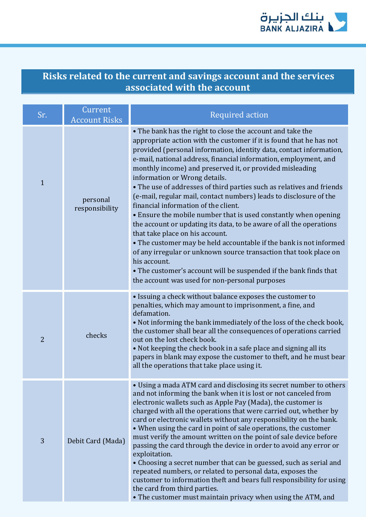

## **Risks related to the current and savings account and the services associated with the account**

| Sr.            | Current<br><b>Account Risks</b> | <b>Required action</b>                                                                                                                                                                                                                                                                                                                                                                                                                                                                                                                                                                                                                                                                                                                                                                                                                                                                                                                                                                                                          |
|----------------|---------------------------------|---------------------------------------------------------------------------------------------------------------------------------------------------------------------------------------------------------------------------------------------------------------------------------------------------------------------------------------------------------------------------------------------------------------------------------------------------------------------------------------------------------------------------------------------------------------------------------------------------------------------------------------------------------------------------------------------------------------------------------------------------------------------------------------------------------------------------------------------------------------------------------------------------------------------------------------------------------------------------------------------------------------------------------|
| $\mathbf{1}$   | personal<br>responsibility      | • The bank has the right to close the account and take the<br>appropriate action with the customer if it is found that he has not<br>provided (personal information, identity data, contact information,<br>e-mail, national address, financial information, employment, and<br>monthly income) and preserved it, or provided misleading<br>information or Wrong details.<br>• The use of addresses of third parties such as relatives and friends<br>(e-mail, regular mail, contact numbers) leads to disclosure of the<br>financial information of the client.<br>• Ensure the mobile number that is used constantly when opening<br>the account or updating its data, to be aware of all the operations<br>that take place on his account.<br>• The customer may be held accountable if the bank is not informed<br>of any irregular or unknown source transaction that took place on<br>his account.<br>• The customer's account will be suspended if the bank finds that<br>the account was used for non-personal purposes |
| $\overline{2}$ | checks                          | • Issuing a check without balance exposes the customer to<br>penalties, which may amount to imprisonment, a fine, and<br>defamation.<br>. Not informing the bank immediately of the loss of the check book,<br>the customer shall bear all the consequences of operations carried<br>out on the lost check book.<br>. Not keeping the check book in a safe place and signing all its<br>papers in blank may expose the customer to theft, and he must bear<br>all the operations that take place using it.                                                                                                                                                                                                                                                                                                                                                                                                                                                                                                                      |
| 3              | Debit Card (Mada)               | • Using a mada ATM card and disclosing its secret number to others<br>and not informing the bank when it is lost or not canceled from<br>electronic wallets such as Apple Pay (Mada), the customer is<br>charged with all the operations that were carried out, whether by<br>card or electronic wallets without any responsibility on the bank.<br>• When using the card in point of sale operations, the customer<br>must verify the amount written on the point of sale device before<br>passing the card through the device in order to avoid any error or<br>exploitation.<br>• Choosing a secret number that can be guessed, such as serial and<br>repeated numbers, or related to personal data, exposes the<br>customer to information theft and bears full responsibility for using<br>the card from third parties.<br>• The customer must maintain privacy when using the ATM, and                                                                                                                                    |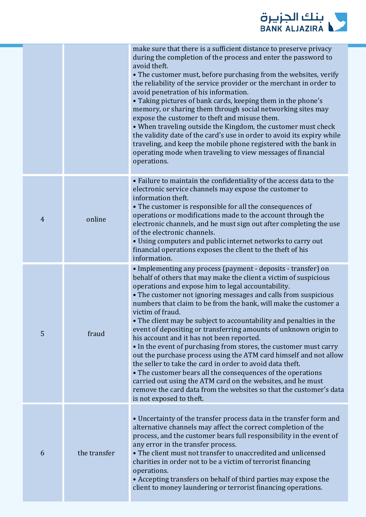

|                |              | make sure that there is a sufficient distance to preserve privacy<br>during the completion of the process and enter the password to<br>avoid theft.<br>• The customer must, before purchasing from the websites, verify<br>the reliability of the service provider or the merchant in order to<br>avoid penetration of his information.<br>• Taking pictures of bank cards, keeping them in the phone's<br>memory, or sharing them through social networking sites may<br>expose the customer to theft and misuse them.<br>• When traveling outside the Kingdom, the customer must check<br>the validity date of the card's use in order to avoid its expiry while<br>traveling, and keep the mobile phone registered with the bank in<br>operating mode when traveling to view messages of financial<br>operations.                                                                                                                                                            |
|----------------|--------------|---------------------------------------------------------------------------------------------------------------------------------------------------------------------------------------------------------------------------------------------------------------------------------------------------------------------------------------------------------------------------------------------------------------------------------------------------------------------------------------------------------------------------------------------------------------------------------------------------------------------------------------------------------------------------------------------------------------------------------------------------------------------------------------------------------------------------------------------------------------------------------------------------------------------------------------------------------------------------------|
| $\overline{4}$ | online       | • Failure to maintain the confidentiality of the access data to the<br>electronic service channels may expose the customer to<br>information theft.<br>• The customer is responsible for all the consequences of<br>operations or modifications made to the account through the<br>electronic channels, and he must sign out after completing the use<br>of the electronic channels.<br>• Using computers and public internet networks to carry out<br>financial operations exposes the client to the theft of his<br>information.                                                                                                                                                                                                                                                                                                                                                                                                                                              |
| 5              | fraud        | • Implementing any process (payment - deposits - transfer) on<br>behalf of others that may make the client a victim of suspicious<br>operations and expose him to legal accountability.<br>• The customer not ignoring messages and calls from suspicious<br>numbers that claim to be from the bank, will make the customer a<br>victim of fraud.<br>• The client may be subject to accountability and penalties in the<br>event of depositing or transferring amounts of unknown origin to<br>his account and it has not been reported.<br>• In the event of purchasing from stores, the customer must carry<br>out the purchase process using the ATM card himself and not allow<br>the seller to take the card in order to avoid data theft.<br>• The customer bears all the consequences of the operations<br>carried out using the ATM card on the websites, and he must<br>remove the card data from the websites so that the customer's data<br>is not exposed to theft. |
| 6              | the transfer | • Uncertainty of the transfer process data in the transfer form and<br>alternative channels may affect the correct completion of the<br>process, and the customer bears full responsibility in the event of<br>any error in the transfer process.<br>• The client must not transfer to unaccredited and unlicensed<br>charities in order not to be a victim of terrorist financing<br>operations.<br>• Accepting transfers on behalf of third parties may expose the<br>client to money laundering or terrorist financing operations.                                                                                                                                                                                                                                                                                                                                                                                                                                           |